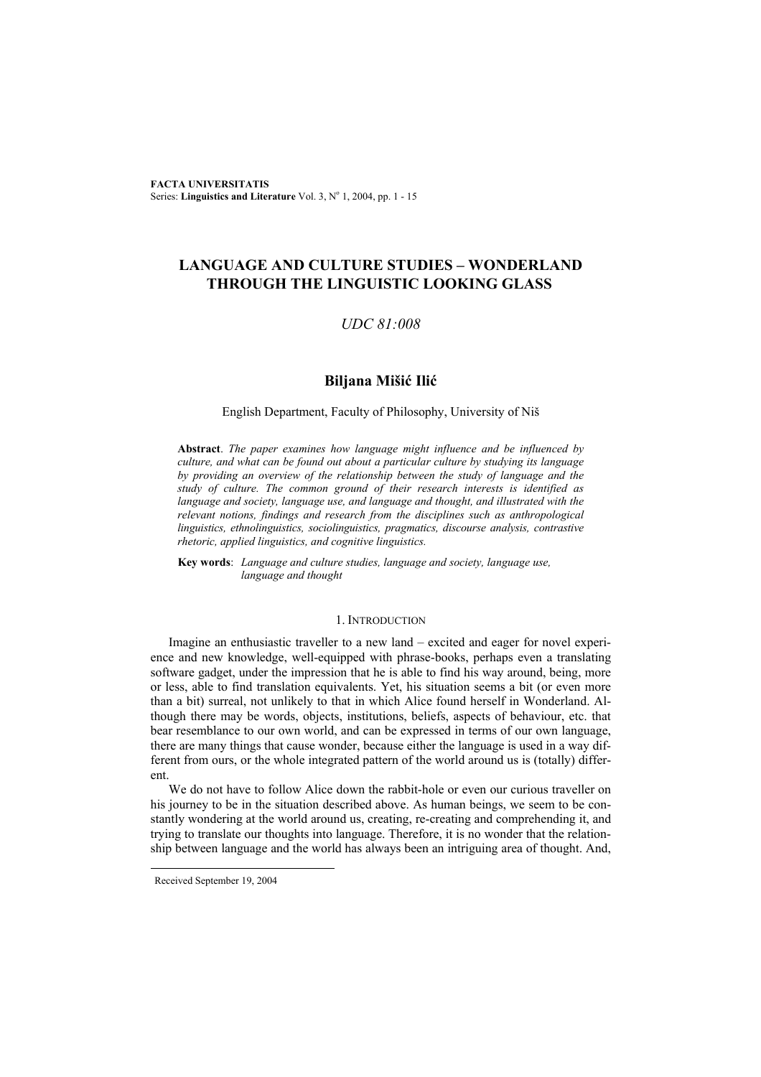**FACTA UNIVERSITATIS** Series: Linguistics and Literature Vol. 3, Nº 1, 2004, pp. 1 - 15

# **LANGUAGE AND CULTURE STUDIES – WONDERLAND THROUGH THE LINGUISTIC LOOKING GLASS**

# *UDC 81:008*

# **Biljana Mišić Ilić**

### English Department, Faculty of Philosophy, University of Niš

**Abstract**. *The paper examines how language might influence and be influenced by culture, and what can be found out about a particular culture by studying its language by providing an overview of the relationship between the study of language and the study of culture. The common ground of their research interests is identified as language and society, language use, and language and thought, and illustrated with the relevant notions, findings and research from the disciplines such as anthropological linguistics, ethnolinguistics, sociolinguistics, pragmatics, discourse analysis, contrastive rhetoric, applied linguistics, and cognitive linguistics.* 

**Key words**: *Language and culture studies, language and society, language use, language and thought*

#### 1. INTRODUCTION

Imagine an enthusiastic traveller to a new land – excited and eager for novel experience and new knowledge, well-equipped with phrase-books, perhaps even a translating software gadget, under the impression that he is able to find his way around, being, more or less, able to find translation equivalents. Yet, his situation seems a bit (or even more than a bit) surreal, not unlikely to that in which Alice found herself in Wonderland. Although there may be words, objects, institutions, beliefs, aspects of behaviour, etc. that bear resemblance to our own world, and can be expressed in terms of our own language, there are many things that cause wonder, because either the language is used in a way different from ours, or the whole integrated pattern of the world around us is (totally) different.

We do not have to follow Alice down the rabbit-hole or even our curious traveller on his journey to be in the situation described above. As human beings, we seem to be constantly wondering at the world around us, creating, re-creating and comprehending it, and trying to translate our thoughts into language. Therefore, it is no wonder that the relationship between language and the world has always been an intriguing area of thought. And,

l

Received September 19, 2004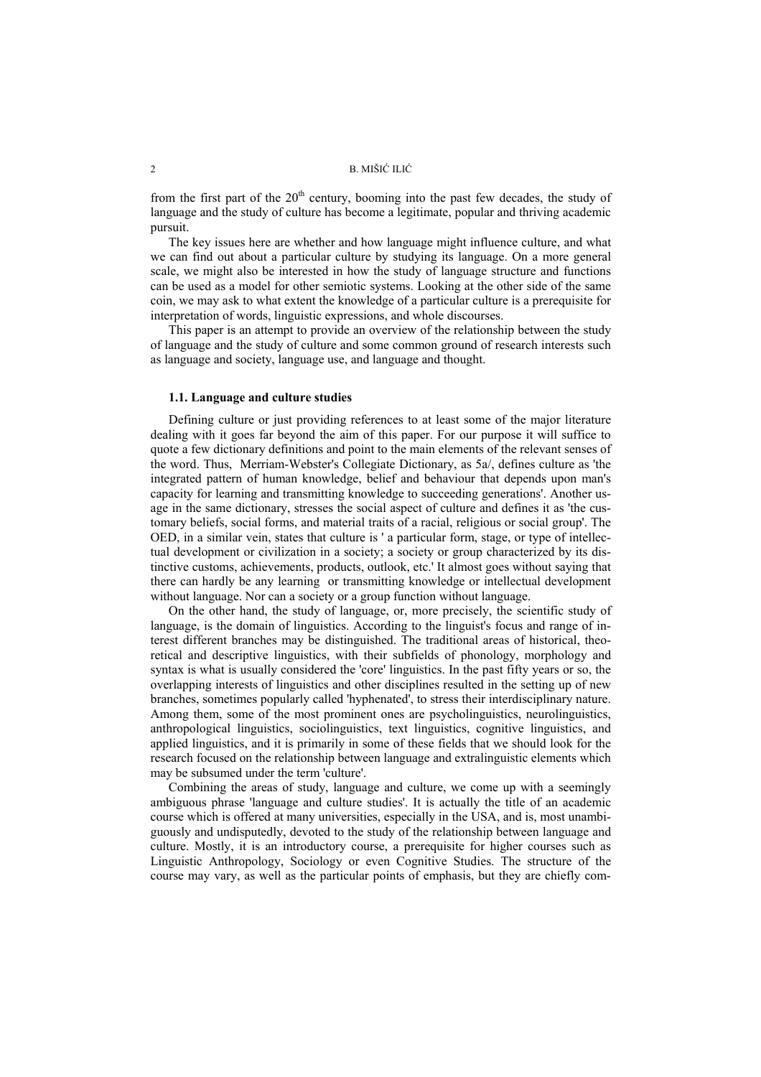from the first part of the  $20<sup>th</sup>$  century, booming into the past few decades, the study of language and the study of culture has become a legitimate, popular and thriving academic pursuit.

The key issues here are whether and how language might influence culture, and what we can find out about a particular culture by studying its language. On a more general scale, we might also be interested in how the study of language structure and functions can be used as a model for other semiotic systems. Looking at the other side of the same coin, we may ask to what extent the knowledge of a particular culture is a prerequisite for interpretation of words, linguistic expressions, and whole discourses.

This paper is an attempt to provide an overview of the relationship between the study of language and the study of culture and some common ground of research interests such as language and society, language use, and language and thought.

# **1.1. Language and culture studies**

Defining culture or just providing references to at least some of the major literature dealing with it goes far beyond the aim of this paper. For our purpose it will suffice to quote a few dictionary definitions and point to the main elements of the relevant senses of the word. Thus, Merriam-Webster's Collegiate Dictionary, as 5a/, defines culture as 'the integrated pattern of human knowledge, belief and behaviour that depends upon man's capacity for learning and transmitting knowledge to succeeding generations'. Another usage in the same dictionary, stresses the social aspect of culture and defines it as 'the customary beliefs, social forms, and material traits of a racial, religious or social group'. The OED, in a similar vein, states that culture is ' a particular form, stage, or type of intellectual development or civilization in a society; a society or group characterized by its distinctive customs, achievements, products, outlook, etc.' It almost goes without saying that there can hardly be any learning or transmitting knowledge or intellectual development without language. Nor can a society or a group function without language.

On the other hand, the study of language, or, more precisely, the scientific study of language, is the domain of linguistics. According to the linguist's focus and range of interest different branches may be distinguished. The traditional areas of historical, theoretical and descriptive linguistics, with their subfields of phonology, morphology and syntax is what is usually considered the 'core' linguistics. In the past fifty years or so, the overlapping interests of linguistics and other disciplines resulted in the setting up of new branches, sometimes popularly called 'hyphenated', to stress their interdisciplinary nature. Among them, some of the most prominent ones are psycholinguistics, neurolinguistics, anthropological linguistics, sociolinguistics, text linguistics, cognitive linguistics, and applied linguistics, and it is primarily in some of these fields that we should look for the research focused on the relationship between language and extralinguistic elements which may be subsumed under the term 'culture'.

Combining the areas of study, language and culture, we come up with a seemingly ambiguous phrase 'language and culture studies'. It is actually the title of an academic course which is offered at many universities, especially in the USA, and is, most unambiguously and undisputedly, devoted to the study of the relationship between language and culture. Mostly, it is an introductory course, a prerequisite for higher courses such as Linguistic Anthropology, Sociology or even Cognitive Studies. The structure of the course may vary, as well as the particular points of emphasis, but they are chiefly com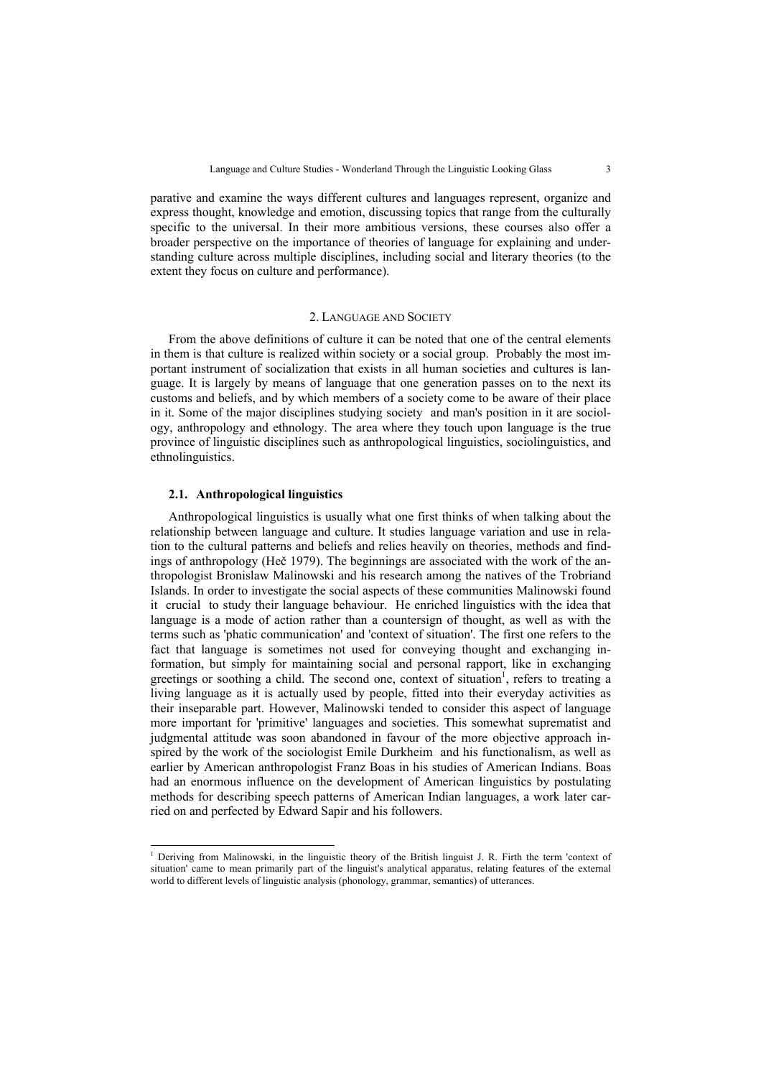parative and examine the ways different cultures and languages represent, organize and express thought, knowledge and emotion, discussing topics that range from the culturally specific to the universal. In their more ambitious versions, these courses also offer a broader perspective on the importance of theories of language for explaining and understanding culture across multiple disciplines, including social and literary theories (to the extent they focus on culture and performance).

## 2. LANGUAGE AND SOCIETY

From the above definitions of culture it can be noted that one of the central elements in them is that culture is realized within society or a social group. Probably the most important instrument of socialization that exists in all human societies and cultures is language. It is largely by means of language that one generation passes on to the next its customs and beliefs, and by which members of a society come to be aware of their place in it. Some of the major disciplines studying society and man's position in it are sociology, anthropology and ethnology. The area where they touch upon language is the true province of linguistic disciplines such as anthropological linguistics, sociolinguistics, and ethnolinguistics.

### **2.1. Anthropological linguistics**

l

Anthropological linguistics is usually what one first thinks of when talking about the relationship between language and culture. It studies language variation and use in relation to the cultural patterns and beliefs and relies heavily on theories, methods and findings of anthropology (Heč 1979). The beginnings are associated with the work of the anthropologist Bronislaw Malinowski and his research among the natives of the Trobriand Islands. In order to investigate the social aspects of these communities Malinowski found it crucial to study their language behaviour. He enriched linguistics with the idea that language is a mode of action rather than a countersign of thought, as well as with the terms such as 'phatic communication' and 'context of situation'. The first one refers to the fact that language is sometimes not used for conveying thought and exchanging information, but simply for maintaining social and personal rapport, like in exchanging greetings or soothing a child. The second one, context of situation<sup>1</sup>, refers to treating a living language as it is actually used by people, fitted into their everyday activities as their inseparable part. However, Malinowski tended to consider this aspect of language more important for 'primitive' languages and societies. This somewhat suprematist and judgmental attitude was soon abandoned in favour of the more objective approach inspired by the work of the sociologist Emile Durkheim and his functionalism, as well as earlier by American anthropologist Franz Boas in his studies of American Indians. Boas had an enormous influence on the development of American linguistics by postulating methods for describing speech patterns of American Indian languages, a work later carried on and perfected by Edward Sapir and his followers.

<sup>&</sup>lt;sup>1</sup> Deriving from Malinowski, in the linguistic theory of the British linguist J. R. Firth the term 'context of situation' came to mean primarily part of the linguist's analytical apparatus, relating features of the external world to different levels of linguistic analysis (phonology, grammar, semantics) of utterances.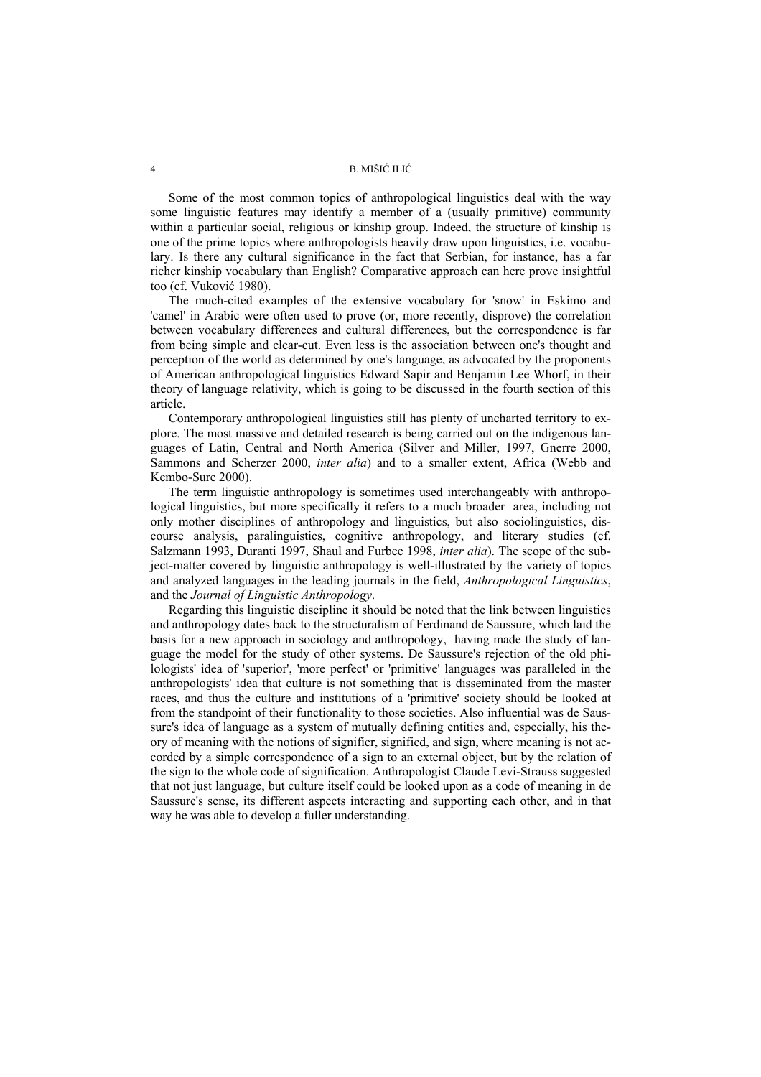Some of the most common topics of anthropological linguistics deal with the way some linguistic features may identify a member of a (usually primitive) community within a particular social, religious or kinship group. Indeed, the structure of kinship is one of the prime topics where anthropologists heavily draw upon linguistics, i.e. vocabulary. Is there any cultural significance in the fact that Serbian, for instance, has a far richer kinship vocabulary than English? Comparative approach can here prove insightful too (cf. Vuković 1980).

The much-cited examples of the extensive vocabulary for 'snow' in Eskimo and 'camel' in Arabic were often used to prove (or, more recently, disprove) the correlation between vocabulary differences and cultural differences, but the correspondence is far from being simple and clear-cut. Even less is the association between one's thought and perception of the world as determined by one's language, as advocated by the proponents of American anthropological linguistics Edward Sapir and Benjamin Lee Whorf, in their theory of language relativity, which is going to be discussed in the fourth section of this article.

Contemporary anthropological linguistics still has plenty of uncharted territory to explore. The most massive and detailed research is being carried out on the indigenous languages of Latin, Central and North America (Silver and Miller, 1997, Gnerre 2000, Sammons and Scherzer 2000, *inter alia*) and to a smaller extent, Africa (Webb and Kembo-Sure 2000).

The term linguistic anthropology is sometimes used interchangeably with anthropological linguistics, but more specifically it refers to a much broader area, including not only mother disciplines of anthropology and linguistics, but also sociolinguistics, discourse analysis, paralinguistics, cognitive anthropology, and literary studies (cf. Salzmann 1993, Duranti 1997, Shaul and Furbee 1998, *inter alia*). The scope of the subject-matter covered by linguistic anthropology is well-illustrated by the variety of topics and analyzed languages in the leading journals in the field, *Anthropological Linguistics*, and the *Journal of Linguistic Anthropology*.

Regarding this linguistic discipline it should be noted that the link between linguistics and anthropology dates back to the structuralism of Ferdinand de Saussure, which laid the basis for a new approach in sociology and anthropology, having made the study of language the model for the study of other systems. De Saussure's rejection of the old philologists' idea of 'superior', 'more perfect' or 'primitive' languages was paralleled in the anthropologists' idea that culture is not something that is disseminated from the master races, and thus the culture and institutions of a 'primitive' society should be looked at from the standpoint of their functionality to those societies. Also influential was de Saussure's idea of language as a system of mutually defining entities and, especially, his theory of meaning with the notions of signifier, signified, and sign, where meaning is not accorded by a simple correspondence of a sign to an external object, but by the relation of the sign to the whole code of signification. Anthropologist Claude Levi-Strauss suggested that not just language, but culture itself could be looked upon as a code of meaning in de Saussure's sense, its different aspects interacting and supporting each other, and in that way he was able to develop a fuller understanding.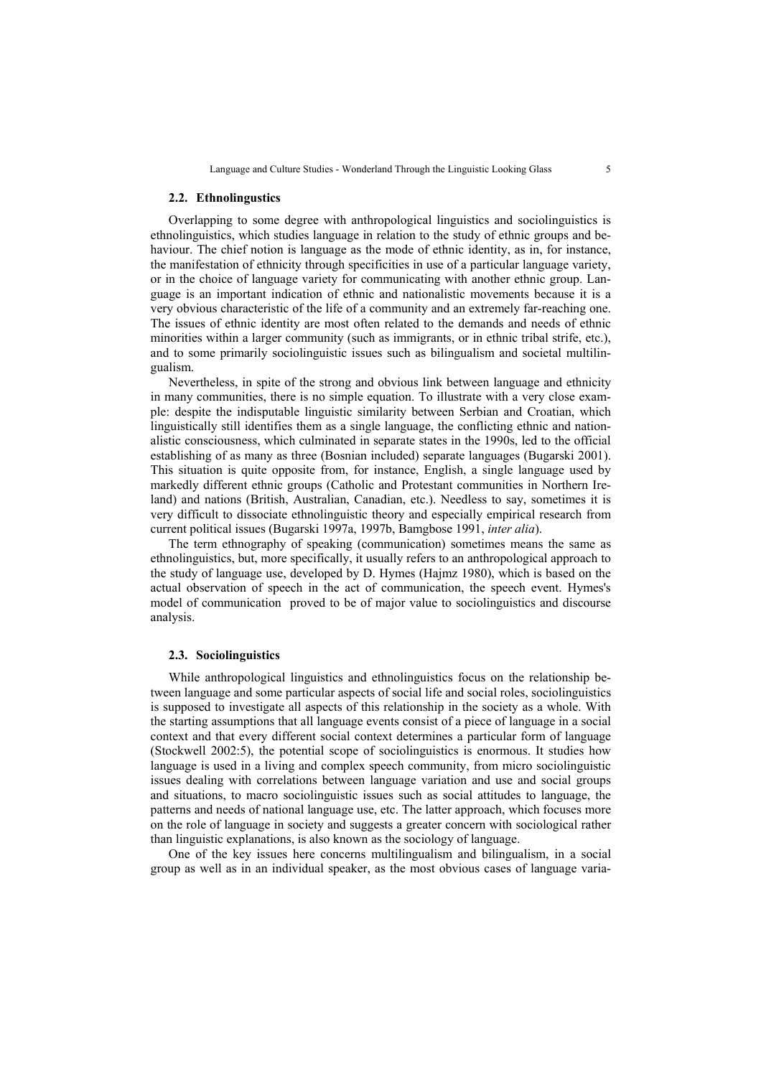Language and Culture Studies - Wonderland Through the Linguistic Looking Glass 5

#### **2.2. Ethnolingustics**

Overlapping to some degree with anthropological linguistics and sociolinguistics is ethnolinguistics, which studies language in relation to the study of ethnic groups and behaviour. The chief notion is language as the mode of ethnic identity, as in, for instance, the manifestation of ethnicity through specificities in use of a particular language variety, or in the choice of language variety for communicating with another ethnic group. Language is an important indication of ethnic and nationalistic movements because it is a very obvious characteristic of the life of a community and an extremely far-reaching one. The issues of ethnic identity are most often related to the demands and needs of ethnic minorities within a larger community (such as immigrants, or in ethnic tribal strife, etc.), and to some primarily sociolinguistic issues such as bilingualism and societal multilingualism.

Nevertheless, in spite of the strong and obvious link between language and ethnicity in many communities, there is no simple equation. To illustrate with a very close example: despite the indisputable linguistic similarity between Serbian and Croatian, which linguistically still identifies them as a single language, the conflicting ethnic and nationalistic consciousness, which culminated in separate states in the 1990s, led to the official establishing of as many as three (Bosnian included) separate languages (Bugarski 2001). This situation is quite opposite from, for instance, English, a single language used by markedly different ethnic groups (Catholic and Protestant communities in Northern Ireland) and nations (British, Australian, Canadian, etc.). Needless to say, sometimes it is very difficult to dissociate ethnolinguistic theory and especially empirical research from current political issues (Bugarski 1997a, 1997b, Bamgbose 1991, *inter alia*).

The term ethnography of speaking (communication) sometimes means the same as ethnolinguistics, but, more specifically, it usually refers to an anthropological approach to the study of language use, developed by D. Hymes (Hajmz 1980), which is based on the actual observation of speech in the act of communication, the speech event. Hymes's model of communication proved to be of major value to sociolinguistics and discourse analysis.

#### **2.3. Sociolinguistics**

While anthropological linguistics and ethnolinguistics focus on the relationship between language and some particular aspects of social life and social roles, sociolinguistics is supposed to investigate all aspects of this relationship in the society as a whole. With the starting assumptions that all language events consist of a piece of language in a social context and that every different social context determines a particular form of language (Stockwell 2002:5), the potential scope of sociolinguistics is enormous. It studies how language is used in a living and complex speech community, from micro sociolinguistic issues dealing with correlations between language variation and use and social groups and situations, to macro sociolinguistic issues such as social attitudes to language, the patterns and needs of national language use, etc. The latter approach, which focuses more on the role of language in society and suggests a greater concern with sociological rather than linguistic explanations, is also known as the sociology of language.

One of the key issues here concerns multilingualism and bilingualism, in a social group as well as in an individual speaker, as the most obvious cases of language varia-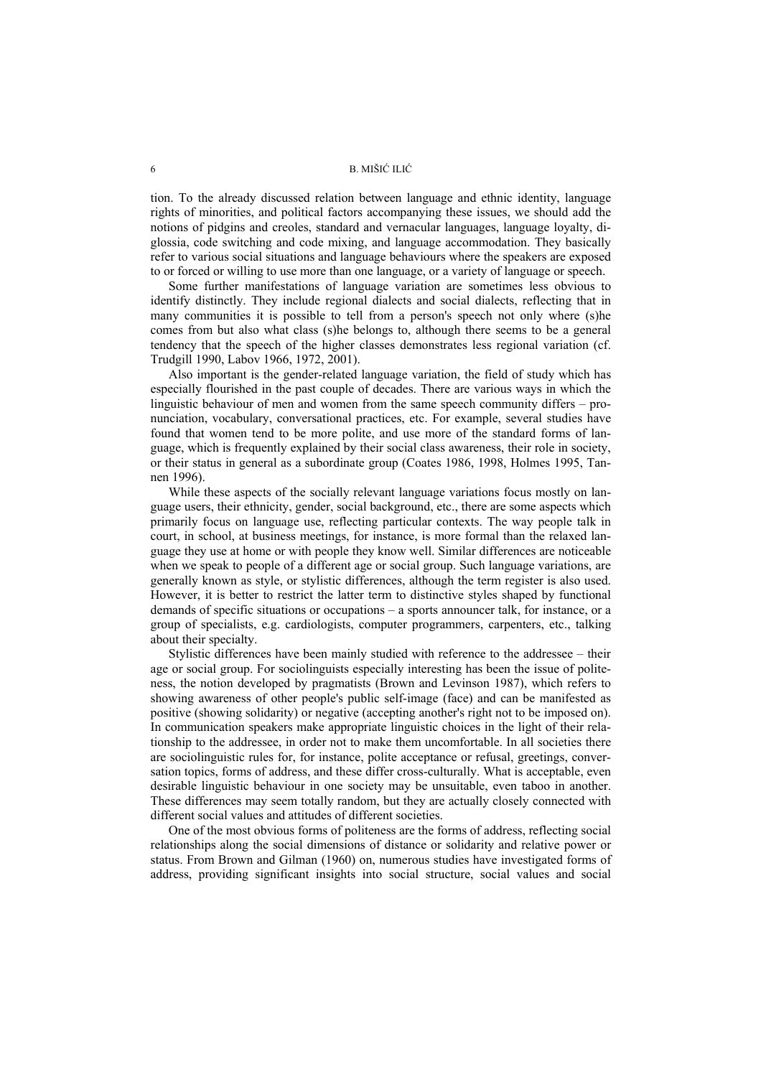tion. To the already discussed relation between language and ethnic identity, language rights of minorities, and political factors accompanying these issues, we should add the notions of pidgins and creoles, standard and vernacular languages, language loyalty, diglossia, code switching and code mixing, and language accommodation. They basically refer to various social situations and language behaviours where the speakers are exposed to or forced or willing to use more than one language, or a variety of language or speech.

Some further manifestations of language variation are sometimes less obvious to identify distinctly. They include regional dialects and social dialects, reflecting that in many communities it is possible to tell from a person's speech not only where (s)he comes from but also what class (s)he belongs to, although there seems to be a general tendency that the speech of the higher classes demonstrates less regional variation (cf. Trudgill 1990, Labov 1966, 1972, 2001).

Also important is the gender-related language variation, the field of study which has especially flourished in the past couple of decades. There are various ways in which the linguistic behaviour of men and women from the same speech community differs – pronunciation, vocabulary, conversational practices, etc. For example, several studies have found that women tend to be more polite, and use more of the standard forms of language, which is frequently explained by their social class awareness, their role in society, or their status in general as a subordinate group (Coates 1986, 1998, Holmes 1995, Tannen 1996).

While these aspects of the socially relevant language variations focus mostly on language users, their ethnicity, gender, social background, etc., there are some aspects which primarily focus on language use, reflecting particular contexts. The way people talk in court, in school, at business meetings, for instance, is more formal than the relaxed language they use at home or with people they know well. Similar differences are noticeable when we speak to people of a different age or social group. Such language variations, are generally known as style, or stylistic differences, although the term register is also used. However, it is better to restrict the latter term to distinctive styles shaped by functional demands of specific situations or occupations – a sports announcer talk, for instance, or a group of specialists, e.g. cardiologists, computer programmers, carpenters, etc., talking about their specialty.

Stylistic differences have been mainly studied with reference to the addressee – their age or social group. For sociolinguists especially interesting has been the issue of politeness, the notion developed by pragmatists (Brown and Levinson 1987), which refers to showing awareness of other people's public self-image (face) and can be manifested as positive (showing solidarity) or negative (accepting another's right not to be imposed on). In communication speakers make appropriate linguistic choices in the light of their relationship to the addressee, in order not to make them uncomfortable. In all societies there are sociolinguistic rules for, for instance, polite acceptance or refusal, greetings, conversation topics, forms of address, and these differ cross-culturally. What is acceptable, even desirable linguistic behaviour in one society may be unsuitable, even taboo in another. These differences may seem totally random, but they are actually closely connected with different social values and attitudes of different societies.

One of the most obvious forms of politeness are the forms of address, reflecting social relationships along the social dimensions of distance or solidarity and relative power or status. From Brown and Gilman (1960) on, numerous studies have investigated forms of address, providing significant insights into social structure, social values and social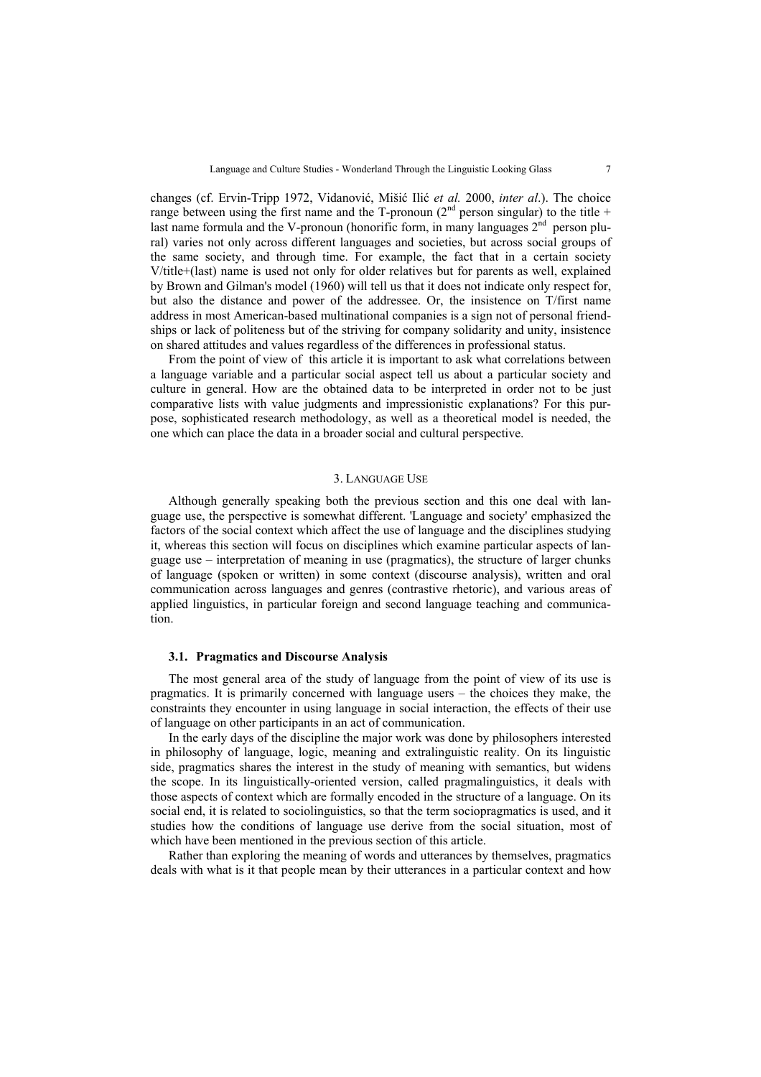changes (cf. Ervin-Tripp 1972, Vidanović, Mišić Ilić *et al.* 2000, *inter al*.). The choice range between using the first name and the T-pronoun ( $2<sup>nd</sup>$  person singular) to the title + last name formula and the V-pronoun (honorific form, in many languages  $2<sup>nd</sup>$  person plural) varies not only across different languages and societies, but across social groups of the same society, and through time. For example, the fact that in a certain society V/title+(last) name is used not only for older relatives but for parents as well, explained by Brown and Gilman's model (1960) will tell us that it does not indicate only respect for, but also the distance and power of the addressee. Or, the insistence on T/first name address in most American-based multinational companies is a sign not of personal friendships or lack of politeness but of the striving for company solidarity and unity, insistence on shared attitudes and values regardless of the differences in professional status.

From the point of view of this article it is important to ask what correlations between a language variable and a particular social aspect tell us about a particular society and culture in general. How are the obtained data to be interpreted in order not to be just comparative lists with value judgments and impressionistic explanations? For this purpose, sophisticated research methodology, as well as a theoretical model is needed, the one which can place the data in a broader social and cultural perspective.

#### 3. LANGUAGE USE

Although generally speaking both the previous section and this one deal with language use, the perspective is somewhat different. 'Language and society' emphasized the factors of the social context which affect the use of language and the disciplines studying it, whereas this section will focus on disciplines which examine particular aspects of language use – interpretation of meaning in use (pragmatics), the structure of larger chunks of language (spoken or written) in some context (discourse analysis), written and oral communication across languages and genres (contrastive rhetoric), and various areas of applied linguistics, in particular foreign and second language teaching and communication.

#### **3.1. Pragmatics and Discourse Analysis**

The most general area of the study of language from the point of view of its use is pragmatics. It is primarily concerned with language users – the choices they make, the constraints they encounter in using language in social interaction, the effects of their use of language on other participants in an act of communication.

In the early days of the discipline the major work was done by philosophers interested in philosophy of language, logic, meaning and extralinguistic reality. On its linguistic side, pragmatics shares the interest in the study of meaning with semantics, but widens the scope. In its linguistically-oriented version, called pragmalinguistics, it deals with those aspects of context which are formally encoded in the structure of a language. On its social end, it is related to sociolinguistics, so that the term sociopragmatics is used, and it studies how the conditions of language use derive from the social situation, most of which have been mentioned in the previous section of this article.

Rather than exploring the meaning of words and utterances by themselves, pragmatics deals with what is it that people mean by their utterances in a particular context and how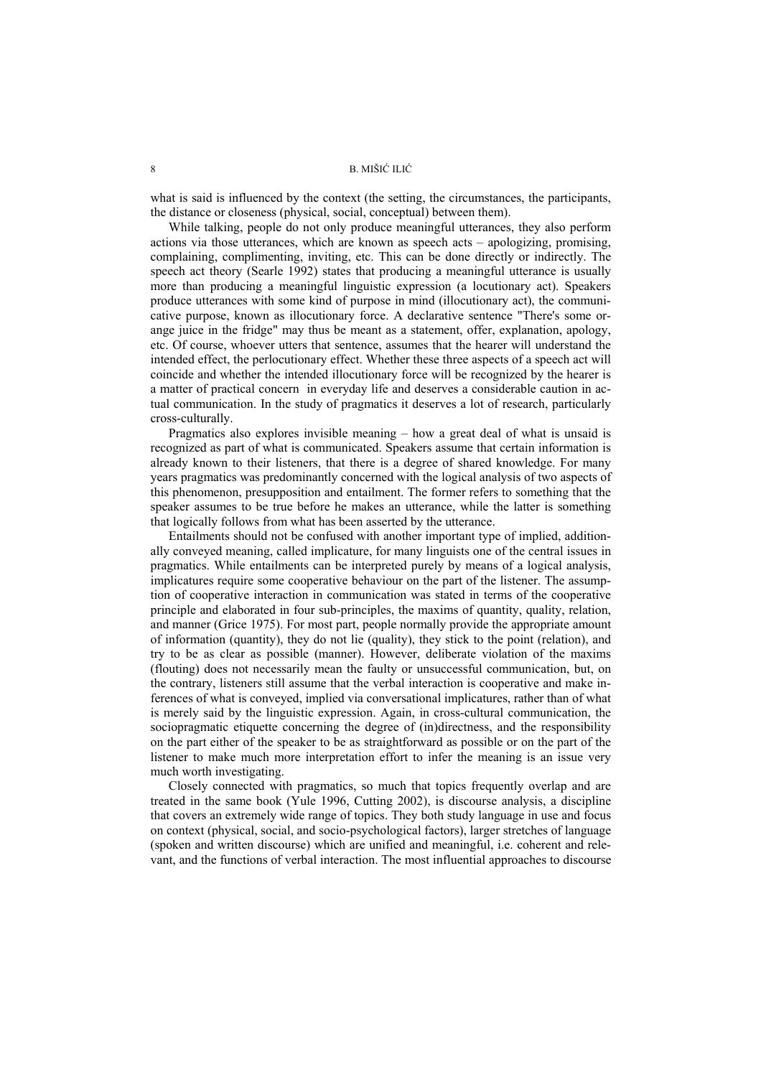what is said is influenced by the context (the setting, the circumstances, the participants, the distance or closeness (physical, social, conceptual) between them).

While talking, people do not only produce meaningful utterances, they also perform actions via those utterances, which are known as speech acts – apologizing, promising, complaining, complimenting, inviting, etc. This can be done directly or indirectly. The speech act theory (Searle 1992) states that producing a meaningful utterance is usually more than producing a meaningful linguistic expression (a locutionary act). Speakers produce utterances with some kind of purpose in mind (illocutionary act), the communicative purpose, known as illocutionary force. A declarative sentence "There's some orange juice in the fridge" may thus be meant as a statement, offer, explanation, apology, etc. Of course, whoever utters that sentence, assumes that the hearer will understand the intended effect, the perlocutionary effect. Whether these three aspects of a speech act will coincide and whether the intended illocutionary force will be recognized by the hearer is a matter of practical concern in everyday life and deserves a considerable caution in actual communication. In the study of pragmatics it deserves a lot of research, particularly cross-culturally.

Pragmatics also explores invisible meaning – how a great deal of what is unsaid is recognized as part of what is communicated. Speakers assume that certain information is already known to their listeners, that there is a degree of shared knowledge. For many years pragmatics was predominantly concerned with the logical analysis of two aspects of this phenomenon, presupposition and entailment. The former refers to something that the speaker assumes to be true before he makes an utterance, while the latter is something that logically follows from what has been asserted by the utterance.

Entailments should not be confused with another important type of implied, additionally conveyed meaning, called implicature, for many linguists one of the central issues in pragmatics. While entailments can be interpreted purely by means of a logical analysis, implicatures require some cooperative behaviour on the part of the listener. The assumption of cooperative interaction in communication was stated in terms of the cooperative principle and elaborated in four sub-principles, the maxims of quantity, quality, relation, and manner (Grice 1975). For most part, people normally provide the appropriate amount of information (quantity), they do not lie (quality), they stick to the point (relation), and try to be as clear as possible (manner). However, deliberate violation of the maxims (flouting) does not necessarily mean the faulty or unsuccessful communication, but, on the contrary, listeners still assume that the verbal interaction is cooperative and make inferences of what is conveyed, implied via conversational implicatures, rather than of what is merely said by the linguistic expression. Again, in cross-cultural communication, the sociopragmatic etiquette concerning the degree of (in)directness, and the responsibility on the part either of the speaker to be as straightforward as possible or on the part of the listener to make much more interpretation effort to infer the meaning is an issue very much worth investigating.

Closely connected with pragmatics, so much that topics frequently overlap and are treated in the same book (Yule 1996, Cutting 2002), is discourse analysis, a discipline that covers an extremely wide range of topics. They both study language in use and focus on context (physical, social, and socio-psychological factors), larger stretches of language (spoken and written discourse) which are unified and meaningful, i.e. coherent and relevant, and the functions of verbal interaction. The most influential approaches to discourse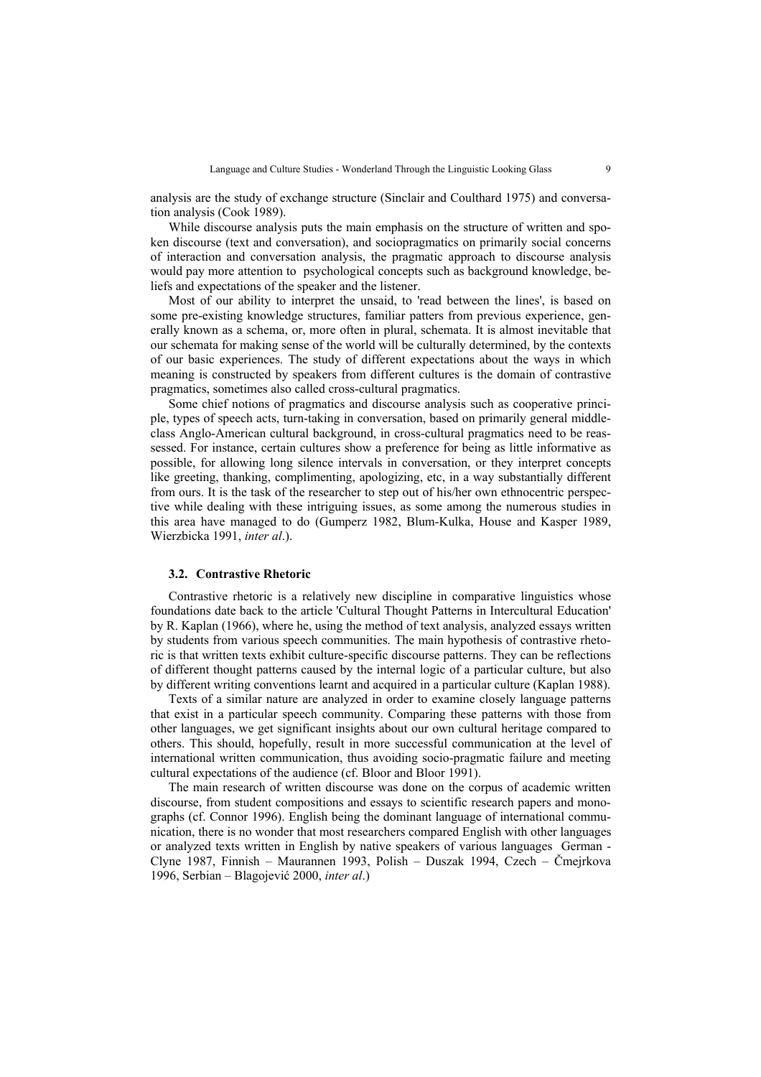analysis are the study of exchange structure (Sinclair and Coulthard 1975) and conversation analysis (Cook 1989).

While discourse analysis puts the main emphasis on the structure of written and spoken discourse (text and conversation), and sociopragmatics on primarily social concerns of interaction and conversation analysis, the pragmatic approach to discourse analysis would pay more attention to psychological concepts such as background knowledge, beliefs and expectations of the speaker and the listener.

Most of our ability to interpret the unsaid, to 'read between the lines', is based on some pre-existing knowledge structures, familiar patters from previous experience, generally known as a schema, or, more often in plural, schemata. It is almost inevitable that our schemata for making sense of the world will be culturally determined, by the contexts of our basic experiences. The study of different expectations about the ways in which meaning is constructed by speakers from different cultures is the domain of contrastive pragmatics, sometimes also called cross-cultural pragmatics.

Some chief notions of pragmatics and discourse analysis such as cooperative principle, types of speech acts, turn-taking in conversation, based on primarily general middleclass Anglo-American cultural background, in cross-cultural pragmatics need to be reassessed. For instance, certain cultures show a preference for being as little informative as possible, for allowing long silence intervals in conversation, or they interpret concepts like greeting, thanking, complimenting, apologizing, etc, in a way substantially different from ours. It is the task of the researcher to step out of his/her own ethnocentric perspective while dealing with these intriguing issues, as some among the numerous studies in this area have managed to do (Gumperz 1982, Blum-Kulka, House and Kasper 1989, Wierzbicka 1991, *inter al*.).

#### **3.2. Contrastive Rhetoric**

Contrastive rhetoric is a relatively new discipline in comparative linguistics whose foundations date back to the article 'Cultural Thought Patterns in Intercultural Education' by R. Kaplan (1966), where he, using the method of text analysis, analyzed essays written by students from various speech communities. The main hypothesis of contrastive rhetoric is that written texts exhibit culture-specific discourse patterns. They can be reflections of different thought patterns caused by the internal logic of a particular culture, but also by different writing conventions learnt and acquired in a particular culture (Kaplan 1988).

Texts of a similar nature are analyzed in order to examine closely language patterns that exist in a particular speech community. Comparing these patterns with those from other languages, we get significant insights about our own cultural heritage compared to others. This should, hopefully, result in more successful communication at the level of international written communication, thus avoiding socio-pragmatic failure and meeting cultural expectations of the audience (cf. Bloor and Bloor 1991).

The main research of written discourse was done on the corpus of academic written discourse, from student compositions and essays to scientific research papers and monographs (cf. Connor 1996). English being the dominant language of international communication, there is no wonder that most researchers compared English with other languages or analyzed texts written in English by native speakers of various languages German - Clyne 1987, Finnish – Maurannen 1993, Polish – Duszak 1994, Czech – Čmejrkova 1996, Serbian – Blagojević 2000, *inter al*.)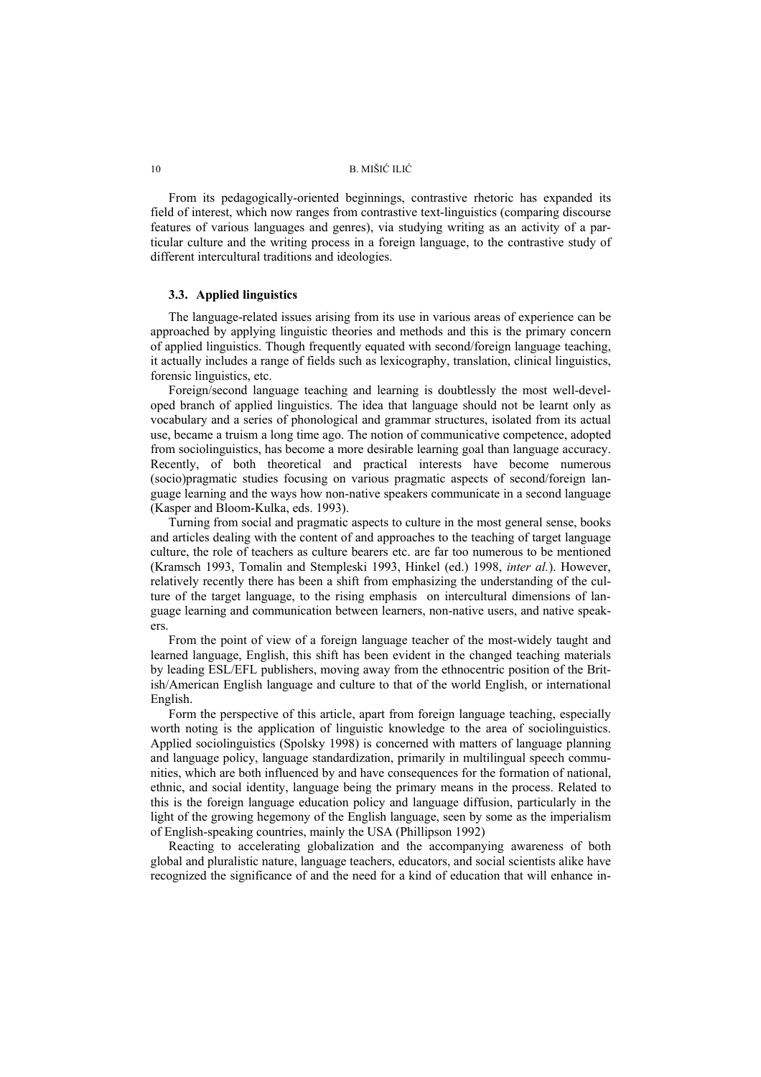From its pedagogically-oriented beginnings, contrastive rhetoric has expanded its field of interest, which now ranges from contrastive text-linguistics (comparing discourse features of various languages and genres), via studying writing as an activity of a particular culture and the writing process in a foreign language, to the contrastive study of different intercultural traditions and ideologies.

### **3.3. Applied linguistics**

The language-related issues arising from its use in various areas of experience can be approached by applying linguistic theories and methods and this is the primary concern of applied linguistics. Though frequently equated with second/foreign language teaching, it actually includes a range of fields such as lexicography, translation, clinical linguistics, forensic linguistics, etc.

Foreign/second language teaching and learning is doubtlessly the most well-developed branch of applied linguistics. The idea that language should not be learnt only as vocabulary and a series of phonological and grammar structures, isolated from its actual use, became a truism a long time ago. The notion of communicative competence, adopted from sociolinguistics, has become a more desirable learning goal than language accuracy. Recently, of both theoretical and practical interests have become numerous (socio)pragmatic studies focusing on various pragmatic aspects of second/foreign language learning and the ways how non-native speakers communicate in a second language (Kasper and Bloom-Kulka, eds. 1993).

Turning from social and pragmatic aspects to culture in the most general sense, books and articles dealing with the content of and approaches to the teaching of target language culture, the role of teachers as culture bearers etc. are far too numerous to be mentioned (Kramsch 1993, Tomalin and Stempleski 1993, Hinkel (ed.) 1998, *inter al.*). However, relatively recently there has been a shift from emphasizing the understanding of the culture of the target language, to the rising emphasis on intercultural dimensions of language learning and communication between learners, non-native users, and native speakers.

From the point of view of a foreign language teacher of the most-widely taught and learned language, English, this shift has been evident in the changed teaching materials by leading ESL/EFL publishers, moving away from the ethnocentric position of the British/American English language and culture to that of the world English, or international English.

Form the perspective of this article, apart from foreign language teaching, especially worth noting is the application of linguistic knowledge to the area of sociolinguistics. Applied sociolinguistics (Spolsky 1998) is concerned with matters of language planning and language policy, language standardization, primarily in multilingual speech communities, which are both influenced by and have consequences for the formation of national, ethnic, and social identity, language being the primary means in the process. Related to this is the foreign language education policy and language diffusion, particularly in the light of the growing hegemony of the English language, seen by some as the imperialism of English-speaking countries, mainly the USA (Phillipson 1992)

Reacting to accelerating globalization and the accompanying awareness of both global and pluralistic nature, language teachers, educators, and social scientists alike have recognized the significance of and the need for a kind of education that will enhance in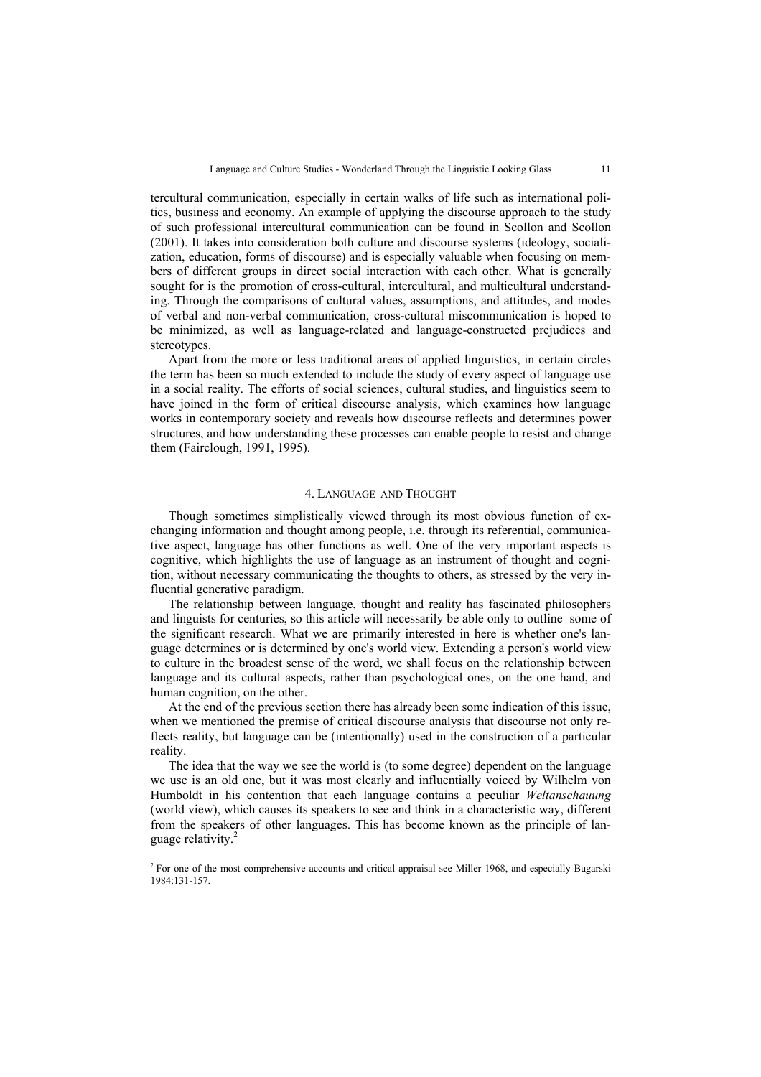tercultural communication, especially in certain walks of life such as international politics, business and economy. An example of applying the discourse approach to the study of such professional intercultural communication can be found in Scollon and Scollon (2001). It takes into consideration both culture and discourse systems (ideology, socialization, education, forms of discourse) and is especially valuable when focusing on members of different groups in direct social interaction with each other. What is generally sought for is the promotion of cross-cultural, intercultural, and multicultural understanding. Through the comparisons of cultural values, assumptions, and attitudes, and modes of verbal and non-verbal communication, cross-cultural miscommunication is hoped to be minimized, as well as language-related and language-constructed prejudices and stereotypes.

Apart from the more or less traditional areas of applied linguistics, in certain circles the term has been so much extended to include the study of every aspect of language use in a social reality. The efforts of social sciences, cultural studies, and linguistics seem to have joined in the form of critical discourse analysis, which examines how language works in contemporary society and reveals how discourse reflects and determines power structures, and how understanding these processes can enable people to resist and change them (Fairclough, 1991, 1995).

#### 4. LANGUAGE AND THOUGHT

Though sometimes simplistically viewed through its most obvious function of exchanging information and thought among people, i.e. through its referential, communicative aspect, language has other functions as well. One of the very important aspects is cognitive, which highlights the use of language as an instrument of thought and cognition, without necessary communicating the thoughts to others, as stressed by the very influential generative paradigm.

The relationship between language, thought and reality has fascinated philosophers and linguists for centuries, so this article will necessarily be able only to outline some of the significant research. What we are primarily interested in here is whether one's language determines or is determined by one's world view. Extending a person's world view to culture in the broadest sense of the word, we shall focus on the relationship between language and its cultural aspects, rather than psychological ones, on the one hand, and human cognition, on the other.

At the end of the previous section there has already been some indication of this issue, when we mentioned the premise of critical discourse analysis that discourse not only reflects reality, but language can be (intentionally) used in the construction of a particular reality.

The idea that the way we see the world is (to some degree) dependent on the language we use is an old one, but it was most clearly and influentially voiced by Wilhelm von Humboldt in his contention that each language contains a peculiar *Weltanschauung* (world view), which causes its speakers to see and think in a characteristic way, different from the speakers of other languages. This has become known as the principle of language relativity.<sup>2</sup>

<sup>&</sup>lt;sup>2</sup> For one of the most comprehensive accounts and critical appraisal see Miller 1968, and especially Bugarski 1984:131-157.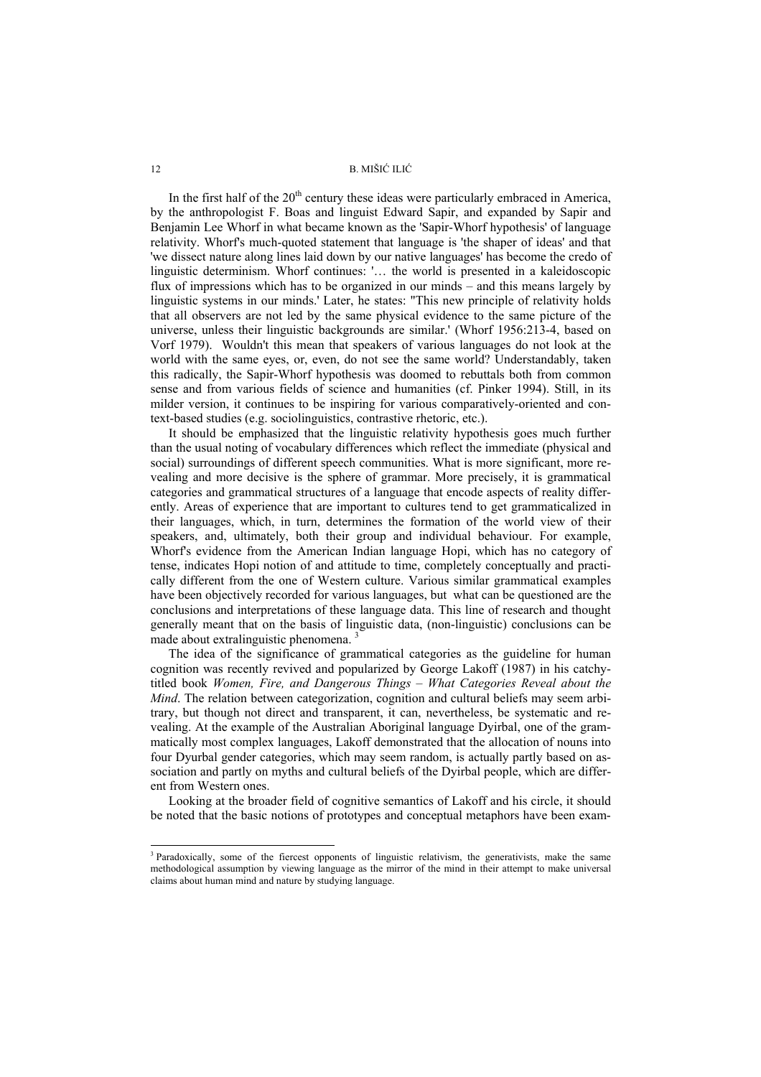In the first half of the  $20<sup>th</sup>$  century these ideas were particularly embraced in America, by the anthropologist F. Boas and linguist Edward Sapir, and expanded by Sapir and Benjamin Lee Whorf in what became known as the 'Sapir-Whorf hypothesis' of language relativity. Whorf's much-quoted statement that language is 'the shaper of ideas' and that 'we dissect nature along lines laid down by our native languages' has become the credo of linguistic determinism. Whorf continues: '… the world is presented in a kaleidoscopic flux of impressions which has to be organized in our minds – and this means largely by linguistic systems in our minds.' Later, he states: "This new principle of relativity holds that all observers are not led by the same physical evidence to the same picture of the universe, unless their linguistic backgrounds are similar.' (Whorf 1956:213-4, based on Vorf 1979). Wouldn't this mean that speakers of various languages do not look at the world with the same eyes, or, even, do not see the same world? Understandably, taken this radically, the Sapir-Whorf hypothesis was doomed to rebuttals both from common sense and from various fields of science and humanities (cf. Pinker 1994). Still, in its milder version, it continues to be inspiring for various comparatively-oriented and context-based studies (e.g. sociolinguistics, contrastive rhetoric, etc.).

It should be emphasized that the linguistic relativity hypothesis goes much further than the usual noting of vocabulary differences which reflect the immediate (physical and social) surroundings of different speech communities. What is more significant, more revealing and more decisive is the sphere of grammar. More precisely, it is grammatical categories and grammatical structures of a language that encode aspects of reality differently. Areas of experience that are important to cultures tend to get grammaticalized in their languages, which, in turn, determines the formation of the world view of their speakers, and, ultimately, both their group and individual behaviour. For example, Whorf's evidence from the American Indian language Hopi, which has no category of tense, indicates Hopi notion of and attitude to time, completely conceptually and practically different from the one of Western culture. Various similar grammatical examples have been objectively recorded for various languages, but what can be questioned are the conclusions and interpretations of these language data. This line of research and thought generally meant that on the basis of linguistic data, (non-linguistic) conclusions can be made about extralinguistic phenomena. 3

The idea of the significance of grammatical categories as the guideline for human cognition was recently revived and popularized by George Lakoff (1987) in his catchytitled book *Women, Fire, and Dangerous Things – What Categories Reveal about the Mind*. The relation between categorization, cognition and cultural beliefs may seem arbitrary, but though not direct and transparent, it can, nevertheless, be systematic and revealing. At the example of the Australian Aboriginal language Dyirbal, one of the grammatically most complex languages, Lakoff demonstrated that the allocation of nouns into four Dyurbal gender categories, which may seem random, is actually partly based on association and partly on myths and cultural beliefs of the Dyirbal people, which are different from Western ones.

Looking at the broader field of cognitive semantics of Lakoff and his circle, it should be noted that the basic notions of prototypes and conceptual metaphors have been exam-

l

<sup>&</sup>lt;sup>3</sup> Paradoxically, some of the fiercest opponents of linguistic relativism, the generativists, make the same methodological assumption by viewing language as the mirror of the mind in their attempt to make universal claims about human mind and nature by studying language.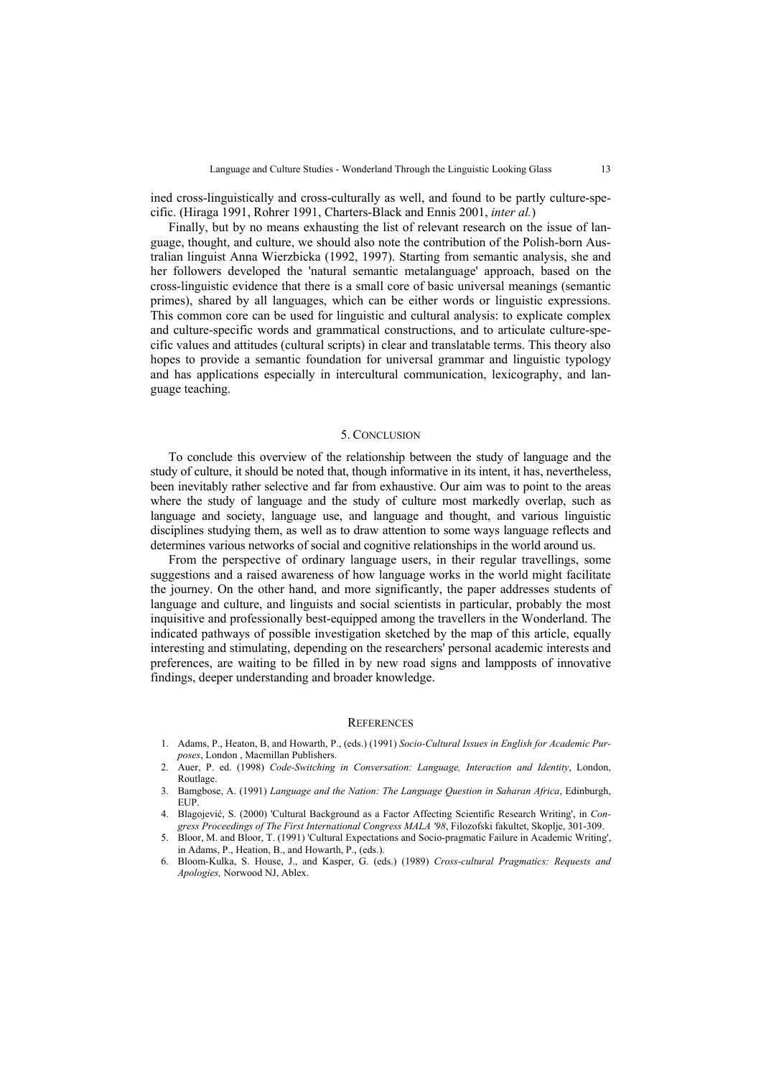ined cross-linguistically and cross-culturally as well, and found to be partly culture-specific. (Hiraga 1991, Rohrer 1991, Charters-Black and Ennis 2001, *inter al.*)

Finally, but by no means exhausting the list of relevant research on the issue of language, thought, and culture, we should also note the contribution of the Polish-born Australian linguist Anna Wierzbicka (1992, 1997). Starting from semantic analysis, she and her followers developed the 'natural semantic metalanguage' approach, based on the cross-linguistic evidence that there is a small core of basic universal meanings (semantic primes), shared by all languages, which can be either words or linguistic expressions. This common core can be used for linguistic and cultural analysis: to explicate complex and culture-specific words and grammatical constructions, and to articulate culture-specific values and attitudes (cultural scripts) in clear and translatable terms. This theory also hopes to provide a semantic foundation for universal grammar and linguistic typology and has applications especially in intercultural communication, lexicography, and language teaching.

#### 5. CONCLUSION

To conclude this overview of the relationship between the study of language and the study of culture, it should be noted that, though informative in its intent, it has, nevertheless, been inevitably rather selective and far from exhaustive. Our aim was to point to the areas where the study of language and the study of culture most markedly overlap, such as language and society, language use, and language and thought, and various linguistic disciplines studying them, as well as to draw attention to some ways language reflects and determines various networks of social and cognitive relationships in the world around us.

From the perspective of ordinary language users, in their regular travellings, some suggestions and a raised awareness of how language works in the world might facilitate the journey. On the other hand, and more significantly, the paper addresses students of language and culture, and linguists and social scientists in particular, probably the most inquisitive and professionally best-equipped among the travellers in the Wonderland. The indicated pathways of possible investigation sketched by the map of this article, equally interesting and stimulating, depending on the researchers' personal academic interests and preferences, are waiting to be filled in by new road signs and lampposts of innovative findings, deeper understanding and broader knowledge.

#### **REFERENCES**

- 1. Adams, P., Heaton, B, and Howarth, P., (eds.) (1991) *Socio-Cultural Issues in English for Academic Purposes*, London , Macmillan Publishers.
- 2. Auer, P. ed. (1998) *Code-Switching in Conversation: Language, Interaction and Identity*, London, Routlage.
- 3. Bamgbose, A. (1991) *Language and the Nation: The Language Question in Saharan Africa*, Edinburgh, EUP.
- 4. Blagojević, S. (2000) 'Cultural Background as a Factor Affecting Scientific Research Writing', in *Congress Proceedings of The First International Congress MALA '98*, Filozofski fakultet, Skoplje, 301-309.
- 5. Bloor, M. and Bloor, T. (1991) 'Cultural Expectations and Socio-pragmatic Failure in Academic Writing', in Adams, P., Heation, B., and Howarth, P., (eds.).
- 6. Bloom-Kulka, S. House, J., and Kasper, G. (eds.) (1989) *Cross-cultural Pragmatics: Requests and Apologies,* Norwood NJ, Ablex.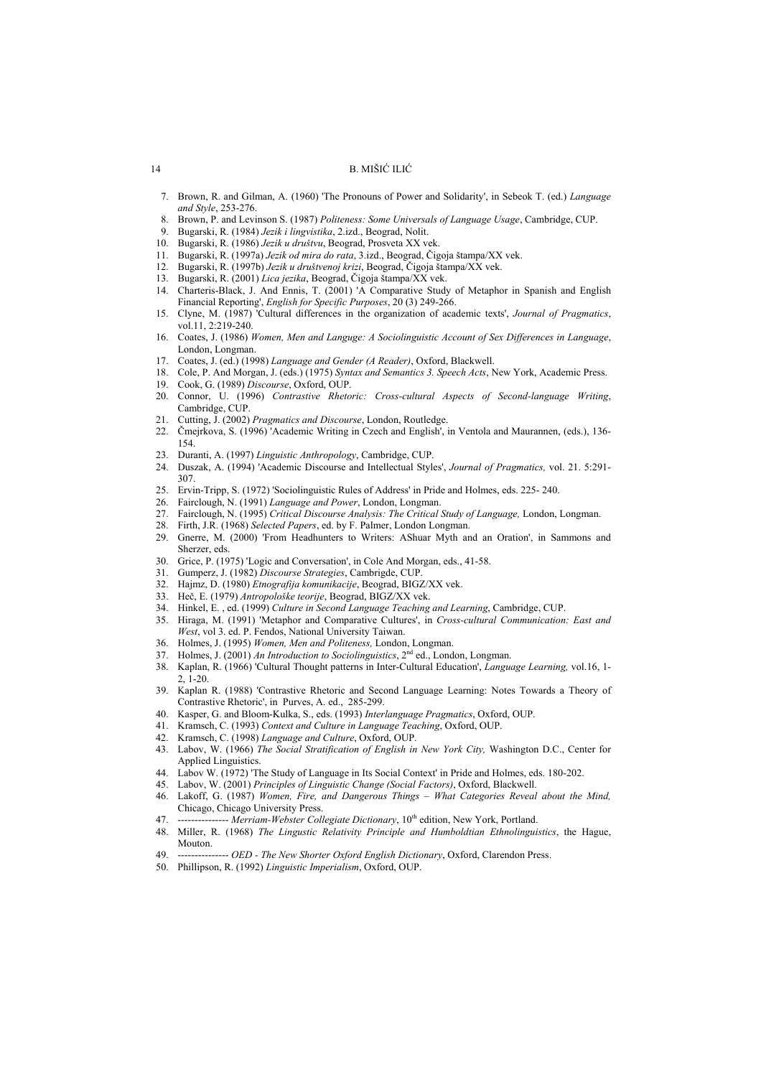- 7. Brown, R. and Gilman, A. (1960) 'The Pronouns of Power and Solidarity', in Sebeok T. (ed.) *Language and Style*, 253-276.
- 8. Brown, P. and Levinson S. (1987) *Politeness: Some Universals of Language Usage*, Cambridge, CUP.
- 9. Bugarski, R. (1984) *Jezik i lingvistika*, 2.izd., Beograd, Nolit.
- 10. Bugarski, R. (1986) *Jezik u društvu*, Beograd, Prosveta XX vek.
- 11. Bugarski, R. (1997a) *Jezik od mira do rata*, 3.izd., Beograd, Čigoja štampa/XX vek.
- 12. Bugarski, R. (1997b) *Jezik u društvenoj krizi*, Beograd, Čigoja štampa/XX vek.
- 13. Bugarski, R. (2001) *Lica jezika*, Beograd, Čigoja štampa/XX vek.
- 14. Charteris-Black, J. And Ennis, T. (2001) 'A Comparative Study of Metaphor in Spanish and English Financial Reporting', *English for Specific Purposes*, 20 (3) 249-266.
- 15. Clyne, M. (1987) 'Cultural differences in the organization of academic texts', *Journal of Pragmatics*, vol.11, 2:219-240.
- 16. Coates, J. (1986) *Women, Men and Languge: A Sociolinguistic Account of Sex Differences in Language*, London, Longman.
- 17. Coates, J. (ed.) (1998) *Language and Gender (A Reader)*, Oxford, Blackwell.
- 18. Cole, P. And Morgan, J. (eds.) (1975) *Syntax and Semantics 3. Speech Acts*, New York, Academic Press. 19. Cook, G. (1989) *Discourse*, Oxford, OUP.
- 20. Connor, U. (1996) *Contrastive Rhetoric: Cross-cultural Aspects of Second-language Writing*, Cambridge, CUP.
- 21. Cutting, J. (2002) *Pragmatics and Discourse*, London, Routledge.
- 22. Čmejrkova, S. (1996) 'Academic Writing in Czech and English', in Ventola and Maurannen, (eds.), 136- 154.
- 23. Duranti, A. (1997) *Linguistic Anthropology*, Cambridge, CUP.
- 24. Duszak, A. (1994) 'Academic Discourse and Intellectual Styles', *Journal of Pragmatics,* vol. 21. 5:291- 307.
- 25. Ervin-Tripp, S. (1972) 'Sociolinguistic Rules of Address' in Pride and Holmes, eds. 225- 240.
- 26. Fairclough, N. (1991) *Language and Power*, London, Longman.
- 27. Fairclough, N. (1995) *Critical Discourse Analysis: The Critical Study of Language,* London, Longman.
- 28. Firth, J.R. (1968) *Selected Papers*, ed. by F. Palmer, London Longman.
- 29. Gnerre, M. (2000) 'From Headhunters to Writers: AShuar Myth and an Oration', in Sammons and Sherzer, eds.
- 30. Grice, P. (1975) 'Logic and Conversation', in Cole And Morgan, eds., 41-58.
- 31. Gumperz, J. (1982) *Discourse Strategies*, Cambrigde, CUP.
- 32. Hajmz, D. (1980) *Etnografija komunikacije*, Beograd, BIGZ/XX vek.
- 33. Heč, E. (1979) *Antropološke teorije*, Beograd, BIGZ/XX vek.
- 34. Hinkel, E. , ed. (1999) *Culture in Second Language Teaching and Learning*, Cambridge, CUP.
- 35. Hiraga, M. (1991) 'Metaphor and Comparative Cultures', in *Cross-cultural Communication: East and West*, vol 3. ed. P. Fendos, National University Taiwan.
- 36. Holmes, J. (1995) *Women, Men and Politeness,* London, Longman.
- 37. Holmes, J. (2001) *An Introduction to Sociolinguistics*, 2nd ed., London, Longman.
- 38. Kaplan, R. (1966) 'Cultural Thought patterns in Inter-Cultural Education', *Language Learning,* vol.16, 1- 2, 1-20.
- 39. Kaplan R. (1988) 'Contrastive Rhetoric and Second Language Learning: Notes Towards a Theory of Contrastive Rhetoric', in Purves, A. ed., 285-299.
- 40. Kasper, G. and Bloom-Kulka, S., eds. (1993) *Interlanguage Pragmatics*, Oxford, OUP.
- 41. Kramsch, C. (1993) *Context and Culture in Language Teaching*, Oxford, OUP.
- 42. Kramsch, C. (1998) *Language and Culture*, Oxford, OUP.
- 43. Labov, W. (1966) *The Social Stratification of English in New York City,* Washington D.C., Center for Applied Linguistics.
- 44. Labov W. (1972) 'The Study of Language in Its Social Context' in Pride and Holmes, eds. 180-202.
- 45. Labov, W. (2001) *Principles of Linguistic Change (Social Factors)*, Oxford, Blackwell.
- 46. Lakoff, G. (1987) *Women, Fire, and Dangerous Things What Categories Reveal about the Mind,*  Chicago, Chicago University Press.
- 47. --------------- *Merriam-Webster Collegiate Dictionary*, 10<sup>th</sup> edition, New York, Portland.
- 48. Miller, R. (1968) *The Lingustic Relativity Principle and Humboldtian Ethnolinguistics*, the Hague, Mouton.
- 49. --------------- *OED The New Shorter Oxford English Dictionary*, Oxford, Clarendon Press.
- 50. Phillipson, R. (1992) *Linguistic Imperialism*, Oxford, OUP.